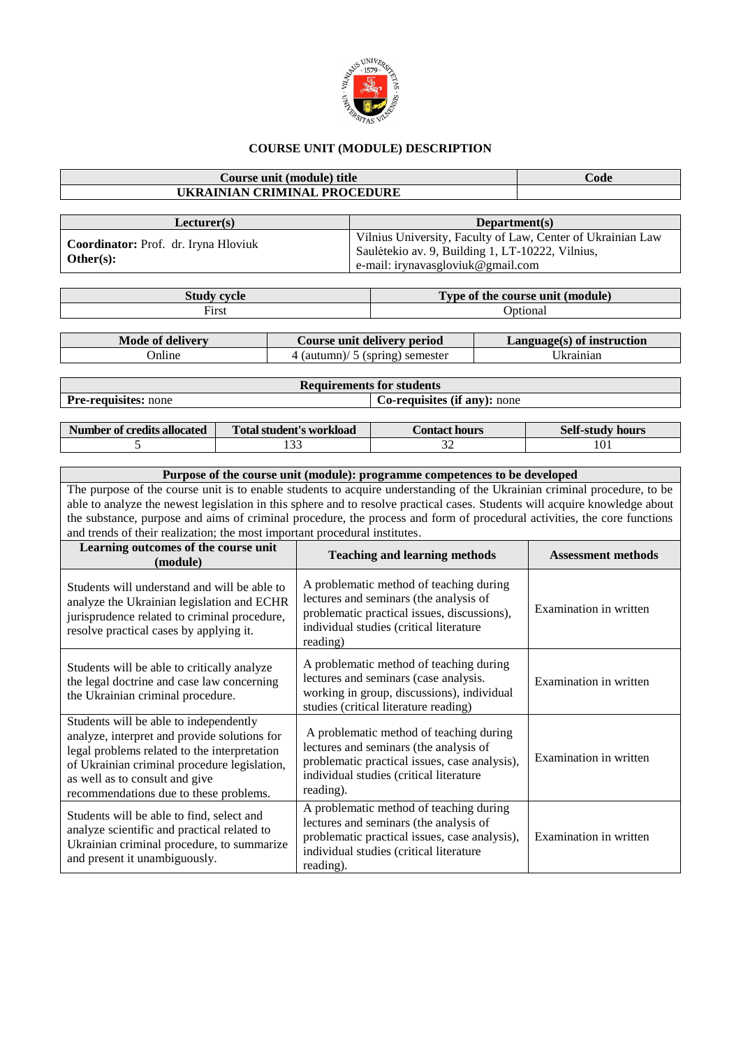

## **COURSE UNIT (MODULE) DESCRIPTION**

## **Course unit (module) title Code UKRAINIAN CRIMINAL PROCEDURE Lecturer(s) Department(s) Coordinator:** Prof. dr. Iryna Hloviuk **Other(s):** Vilnius University, Faculty of Law, Center of Ukrainian Law Saulėtekio av. 9, Building 1, LT-10222, Vilnius, e-mail: irynavasgloviuk@gmail.com **Study cycle Type of the course unit (module)** First **Optional Mode of delivery Course unit delivery period Language(s) of instruction** Online 1 (autumn)/ 5 (spring) semester Ukrainian **Requirements for students Pre-requisites:** none **Co-requisites** (if any): none **Number of credits allocated Total student's workload Contact hours** Self-study hours 5 133 133 32 101 **Purpose of the course unit (module): programme competences to be developed** The purpose of the course unit is to enable students to acquire understanding of the Ukrainian criminal procedure, to be able to analyze the newest legislation in this sphere and to resolve practical cases. Students will acquire knowledge about the substance, purpose and aims of criminal procedure, the process and form of procedural activities, the core functions and trends of their realization; the most important procedural institutes. **Learning outcomes of the course unit (module) Teaching and learning methods Assessment methods** Students will understand and will be able to analyze the Ukrainian legislation and ECHR jurisprudence related to criminal procedure, resolve practical cases by applying it. A problematic method of teaching during lectures and seminars (the analysis of problematic practical issues, discussions), individual studies (critical literature reading) Examination in written Students will be able to critically analyze the legal doctrine and case law concerning the Ukrainian criminal procedure. A problematic method of teaching during lectures and seminars (case analysis. working in group, discussions), individual studies (critical literature reading) Examination in written Students will be able to independently analyze, interpret and provide solutions for legal problems related to the interpretation of Ukrainian criminal procedure legislation, as well as to consult and give recommendations due to these problems. A problematic method of teaching during lectures and seminars (the analysis of problematic practical issues, case analysis), individual studies (critical literature reading). Examination in written Students will be able to find, select and analyze scientific and practical related to Ukrainian criminal procedure, to summarize and present it unambiguously. A problematic method of teaching during lectures and seminars (the analysis of problematic practical issues, case analysis), individual studies (critical literature reading). Examination in written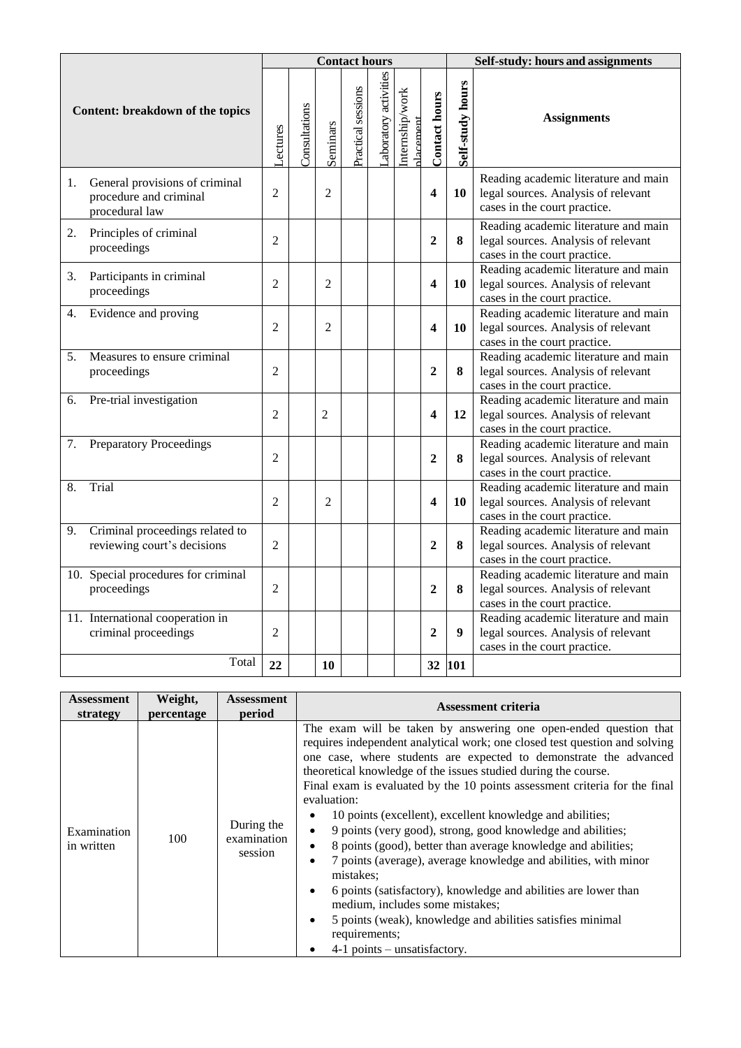| Content: breakdown of the topics |                                                                            | <b>Contact hours</b> |               |                |                    |                      |                             |                         | Self-study: hours and assignments |                                                                                                             |  |
|----------------------------------|----------------------------------------------------------------------------|----------------------|---------------|----------------|--------------------|----------------------|-----------------------------|-------------------------|-----------------------------------|-------------------------------------------------------------------------------------------------------------|--|
|                                  |                                                                            | Lectures             | Consultations | Seminars       | Practical sessions | aboratory activities | Internship/work<br>dacement | <b>Contact hours</b>    | Self-study hours                  | <b>Assignments</b>                                                                                          |  |
| 1.                               | General provisions of criminal<br>procedure and criminal<br>procedural law | $\overline{2}$       |               | $\overline{2}$ |                    |                      |                             | $\overline{\mathbf{4}}$ | 10                                | Reading academic literature and main<br>legal sources. Analysis of relevant<br>cases in the court practice. |  |
| 2.<br>proceedings                | Principles of criminal                                                     | $\overline{2}$       |               |                |                    |                      |                             | $\mathbf{2}$            | 8                                 | Reading academic literature and main<br>legal sources. Analysis of relevant<br>cases in the court practice. |  |
| 3.<br>proceedings                | Participants in criminal                                                   | $\overline{2}$       |               | $\overline{2}$ |                    |                      |                             | $\overline{\mathbf{4}}$ | 10                                | Reading academic literature and main<br>legal sources. Analysis of relevant<br>cases in the court practice. |  |
| 4.                               | Evidence and proving                                                       | $\overline{2}$       |               | $\overline{2}$ |                    |                      |                             | $\overline{\mathbf{4}}$ | 10                                | Reading academic literature and main<br>legal sources. Analysis of relevant<br>cases in the court practice. |  |
| 5 <sub>1</sub><br>proceedings    | Measures to ensure criminal                                                | $\overline{2}$       |               |                |                    |                      |                             | $\overline{2}$          | 8                                 | Reading academic literature and main<br>legal sources. Analysis of relevant<br>cases in the court practice. |  |
| 6.                               | Pre-trial investigation                                                    | $\overline{2}$       |               | $\overline{c}$ |                    |                      |                             | $\overline{\mathbf{4}}$ | 12                                | Reading academic literature and main<br>legal sources. Analysis of relevant<br>cases in the court practice. |  |
| 7.                               | <b>Preparatory Proceedings</b>                                             | $\overline{2}$       |               |                |                    |                      |                             | $\overline{2}$          | 8                                 | Reading academic literature and main<br>legal sources. Analysis of relevant<br>cases in the court practice. |  |
| Trial<br>8.                      |                                                                            | $\overline{2}$       |               | $\overline{2}$ |                    |                      |                             | $\overline{\mathbf{4}}$ | 10                                | Reading academic literature and main<br>legal sources. Analysis of relevant<br>cases in the court practice. |  |
| 9.                               | Criminal proceedings related to<br>reviewing court's decisions             | $\overline{2}$       |               |                |                    |                      |                             | $\boldsymbol{2}$        | 8                                 | Reading academic literature and main<br>legal sources. Analysis of relevant<br>cases in the court practice. |  |
| proceedings                      | 10. Special procedures for criminal                                        | $\overline{2}$       |               |                |                    |                      |                             | $\overline{2}$          | 8                                 | Reading academic literature and main<br>legal sources. Analysis of relevant<br>cases in the court practice. |  |
|                                  | 11. International cooperation in<br>criminal proceedings                   | $\overline{2}$       |               |                |                    |                      |                             | $\boldsymbol{2}$        | 9                                 | Reading academic literature and main<br>legal sources. Analysis of relevant<br>cases in the court practice. |  |
|                                  | Total                                                                      | 22                   |               | 10             |                    |                      |                             |                         | 32 101                            |                                                                                                             |  |

| Assessment                | Weight,    | <b>Assessment</b>                    | <b>Assessment criteria</b>                                                                                                                                                                                                                                                                                                                                                                                                                                                                                                                                                                                                                                                                                                                                                                                                                                                                                                                                   |  |
|---------------------------|------------|--------------------------------------|--------------------------------------------------------------------------------------------------------------------------------------------------------------------------------------------------------------------------------------------------------------------------------------------------------------------------------------------------------------------------------------------------------------------------------------------------------------------------------------------------------------------------------------------------------------------------------------------------------------------------------------------------------------------------------------------------------------------------------------------------------------------------------------------------------------------------------------------------------------------------------------------------------------------------------------------------------------|--|
| strategy                  | percentage | period                               |                                                                                                                                                                                                                                                                                                                                                                                                                                                                                                                                                                                                                                                                                                                                                                                                                                                                                                                                                              |  |
| Examination<br>in written | 100        | During the<br>examination<br>session | The exam will be taken by answering one open-ended question that<br>requires independent analytical work; one closed test question and solving<br>one case, where students are expected to demonstrate the advanced<br>theoretical knowledge of the issues studied during the course.<br>Final exam is evaluated by the 10 points assessment criteria for the final<br>evaluation:<br>10 points (excellent), excellent knowledge and abilities;<br>9 points (very good), strong, good knowledge and abilities;<br>$\bullet$<br>8 points (good), better than average knowledge and abilities;<br>٠<br>7 points (average), average knowledge and abilities, with minor<br>$\bullet$<br>mistakes:<br>6 points (satisfactory), knowledge and abilities are lower than<br>$\bullet$<br>medium, includes some mistakes;<br>5 points (weak), knowledge and abilities satisfies minimal<br>$\bullet$<br>requirements;<br>$4-1$ points – unsatisfactory.<br>$\bullet$ |  |